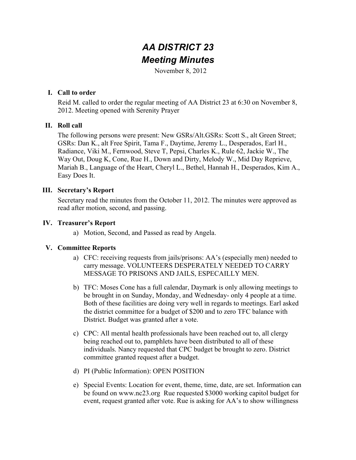# *AA DISTRICT 23 Meeting Minutes*

November 8, 2012

#### **I. Call to order**

Reid M. called to order the regular meeting of AA District 23 at 6:30 on November 8, 2012. Meeting opened with Serenity Prayer

### **II. Roll call**

The following persons were present: New GSRs/Alt.GSRs: Scott S., alt Green Street; GSRs: Dan K., alt Free Spirit, Tama F., Daytime, Jeremy L., Desperados, Earl H., Radiance, Viki M., Fernwood, Steve T, Pepsi, Charles K., Rule 62, Jackie W., The Way Out, Doug K, Cone, Rue H., Down and Dirty, Melody W., Mid Day Reprieve, Mariah B., Language of the Heart, Cheryl L., Bethel, Hannah H., Desperados, Kim A., Easy Does It.

### **III. Secretary's Report**

Secretary read the minutes from the October 11, 2012. The minutes were approved as read after motion, second, and passing.

### **IV. Treasurer's Report**

a) Motion, Second, and Passed as read by Angela.

## **V. Committee Reports**

- a) CFC: receiving requests from jails/prisons: AA's (especially men) needed to carry message. VOLUNTEERS DESPERATELY NEEDED TO CARRY MESSAGE TO PRISONS AND JAILS, ESPECAILLY MEN.
- b) TFC: Moses Cone has a full calendar, Daymark is only allowing meetings to be brought in on Sunday, Monday, and Wednesday- only 4 people at a time. Both of these facilities are doing very well in regards to meetings. Earl asked the district committee for a budget of \$200 and to zero TFC balance with District. Budget was granted after a vote.
- c) CPC: All mental health professionals have been reached out to, all clergy being reached out to, pamphlets have been distributed to all of these individuals. Nancy requested that CPC budget be brought to zero. District committee granted request after a budget.
- d) PI (Public Information): OPEN POSITION
- e) Special Events: Location for event, theme, time, date, are set. Information can be found on www.nc23.org Rue requested \$3000 working capitol budget for event, request granted after vote. Rue is asking for AA's to show willingness